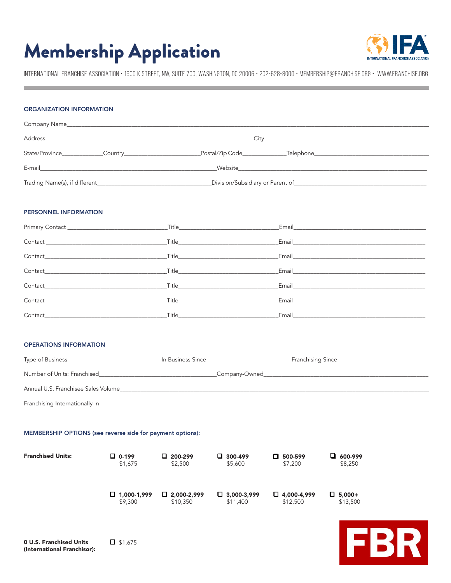## Membership Application



INTERNATIONAL FRANCHISE ASSOCIATION • 1900 K STREET, NW, SUITE 700, WASHINGTON, DC 20006 • 202-628-8000 • MEMBERSHIP@FRANCHISE.ORG • WWW.FRANCHISE.ORG

## ORGANIZATION INFORMATION

| Company Name <b>Example 2018</b> The Company Name <b>Company Name</b> |                                                                                                                                                                                                                                    |  |  |
|-----------------------------------------------------------------------|------------------------------------------------------------------------------------------------------------------------------------------------------------------------------------------------------------------------------------|--|--|
|                                                                       |                                                                                                                                                                                                                                    |  |  |
| Postal/Zip Code_______________                                        | _Telephone_____________________________                                                                                                                                                                                            |  |  |
|                                                                       | <b>Website</b> and the state of the state of the state of the state of the state of the state of the state of the state of the state of the state of the state of the state of the state of the state of the state of the state of |  |  |
|                                                                       | Division/Subsidiary or Parent of Material Accounts and Accounts and Accounts and Accounts and Accounts and Accounts and Accounts and Accounts and Accounts and Accounts and Accounts and Accounts and Accounts and Accounts an     |  |  |

#### PERSONNEL INFORMATION

|                                                                                                                                                                                                                                |                                                                                                                       | Email and the contract of the contract of the contract of the contract of the contract of the contract of the |
|--------------------------------------------------------------------------------------------------------------------------------------------------------------------------------------------------------------------------------|-----------------------------------------------------------------------------------------------------------------------|---------------------------------------------------------------------------------------------------------------|
|                                                                                                                                                                                                                                | _Title____________________________                                                                                    | Email and the contract of the contract of the contract of the contract of the contract of the contract of the |
|                                                                                                                                                                                                                                |                                                                                                                       |                                                                                                               |
|                                                                                                                                                                                                                                | <b>Title State State State State State State</b>                                                                      | Email and the contract of the contract of the contract of the contract of the contract of the contract of the |
|                                                                                                                                                                                                                                | $\begin{tabular}{c} \bf{Title} \end{tabular}$                                                                         | Email <b>Exercise Service Service Service Service</b>                                                         |
| Contact the contract of the contract of the contract of the contract of the contract of the contract of the contract of the contract of the contract of the contract of the contract of the contract of the contract of the co | <b>Title Community of the Community of the Community of the Community of the Community of the Community of the Co</b> | Email and the contract of the contract of the contract of the contract of the contract of the contract of the |
|                                                                                                                                                                                                                                | <b>Title <i>Community Community Community Community</i></b>                                                           | Email and the contract of the contract of the contract of the contract of the contract of the contract of the |

### OPERATIONS INFORMATION

| Type of Business                    | In Business Since | Franchising Since |
|-------------------------------------|-------------------|-------------------|
| Number of Units: Franchised         | _Company-Owned_   |                   |
| Annual U.S. Franchisee Sales Volume |                   |                   |
| Franchising Internationally In      |                   |                   |

#### MEMBERSHIP OPTIONS (see reverse side for payment options):

| <b>Franchised Units:</b> | $\Box$ 0-199       | $\Box$ 200-299     | $\Box$ 300-499     | □ 500-599          | $\Box$ 600-999 |
|--------------------------|--------------------|--------------------|--------------------|--------------------|----------------|
|                          | \$1,675            | \$2,500            | \$5,600            | \$7,200            | \$8,250        |
|                          | $\Box$ 1,000-1,999 | $\Box$ 2,000-2,999 | $\Box$ 3,000-3,999 | $\Box$ 4,000-4,999 | $\Box$ 5,000+  |
|                          | \$9,300            | \$10,350           | \$11,400           | \$12,500           | \$13,500       |